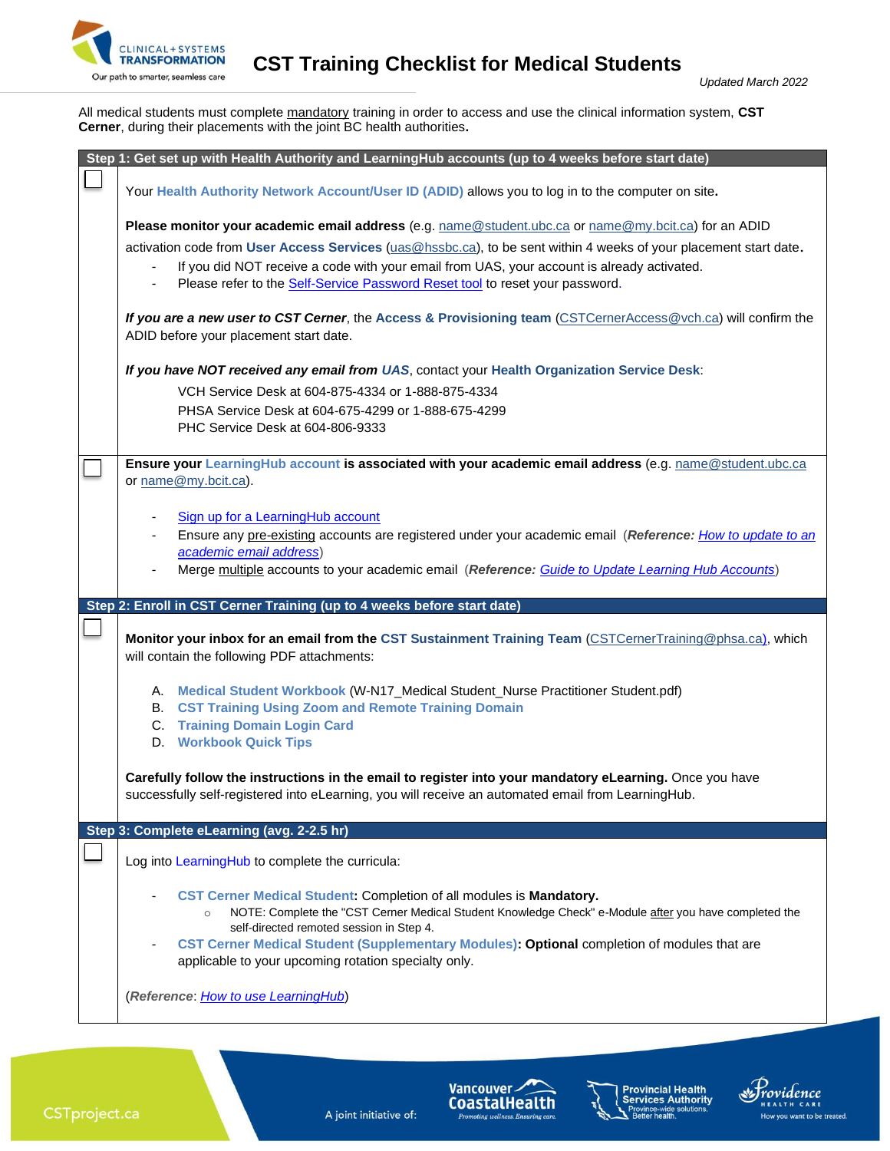

**CLINICAL+SYSTEMS**<br>Our path to smarter, seamless care **CST Training Checklist for Medical Students** 

All medical students must complete mandatory training in order to access and use the clinical information system, **CST Cerner**, during their placements with the joint BC health authorities**.**

| Step 1: Get set up with Health Authority and LearningHub accounts (up to 4 weeks before start date)                                                                                                                                                                                                                                                                                                     |
|---------------------------------------------------------------------------------------------------------------------------------------------------------------------------------------------------------------------------------------------------------------------------------------------------------------------------------------------------------------------------------------------------------|
| Your Health Authority Network Account/User ID (ADID) allows you to log in to the computer on site.                                                                                                                                                                                                                                                                                                      |
| Please monitor your academic email address (e.g. name@student.ubc.ca or name@my.bcit.ca) for an ADID<br>activation code from User Access Services (uas@hssbc.ca), to be sent within 4 weeks of your placement start date.<br>If you did NOT receive a code with your email from UAS, your account is already activated.<br>Please refer to the Self-Service Password Reset tool to reset your password. |
| If you are a new user to CST Cerner, the Access & Provisioning team (CSTCernerAccess@vch.ca) will confirm the<br>ADID before your placement start date.                                                                                                                                                                                                                                                 |
| If you have NOT received any email from UAS, contact your Health Organization Service Desk:<br>VCH Service Desk at 604-875-4334 or 1-888-875-4334<br>PHSA Service Desk at 604-675-4299 or 1-888-675-4299<br>PHC Service Desk at 604-806-9333                                                                                                                                                            |
| Ensure your LearningHub account is associated with your academic email address (e.g. name@student.ubc.ca<br>or name@my.bcit.ca).                                                                                                                                                                                                                                                                        |
| Sign up for a LearningHub account<br>Ensure any pre-existing accounts are registered under your academic email (Reference: How to update to an<br>academic email address)<br>Merge multiple accounts to your academic email (Reference: Guide to Update Learning Hub Accounts)                                                                                                                          |
|                                                                                                                                                                                                                                                                                                                                                                                                         |
| Step 2: Enroll in CST Cerner Training (up to 4 weeks before start date)                                                                                                                                                                                                                                                                                                                                 |
| Monitor your inbox for an email from the CST Sustainment Training Team (CSTCernerTraining@phsa.ca), which<br>will contain the following PDF attachments:                                                                                                                                                                                                                                                |
| A. Medical Student Workbook (W-N17_Medical Student_Nurse Practitioner Student.pdf)<br><b>B. CST Training Using Zoom and Remote Training Domain</b><br><b>C.</b> Training Domain Login Card<br><b>D.</b> Workbook Quick Tips                                                                                                                                                                             |
| Carefully follow the instructions in the email to register into your mandatory eLearning. Once you have<br>successfully self-registered into eLearning, you will receive an automated email from LearningHub.                                                                                                                                                                                           |
| Step 3: Complete eLearning (avg. 2-2.5 hr)                                                                                                                                                                                                                                                                                                                                                              |
| Log into LearningHub to complete the curricula:                                                                                                                                                                                                                                                                                                                                                         |
| CST Cerner Medical Student: Completion of all modules is Mandatory.<br>NOTE: Complete the "CST Cerner Medical Student Knowledge Check" e-Module after you have completed the<br>$\circ$<br>self-directed remoted session in Step 4.<br>CST Cerner Medical Student (Supplementary Modules): Optional completion of modules that are<br>applicable to your upcoming rotation specialty only.              |



A joint initiative of:





Providence

How you want to be treated.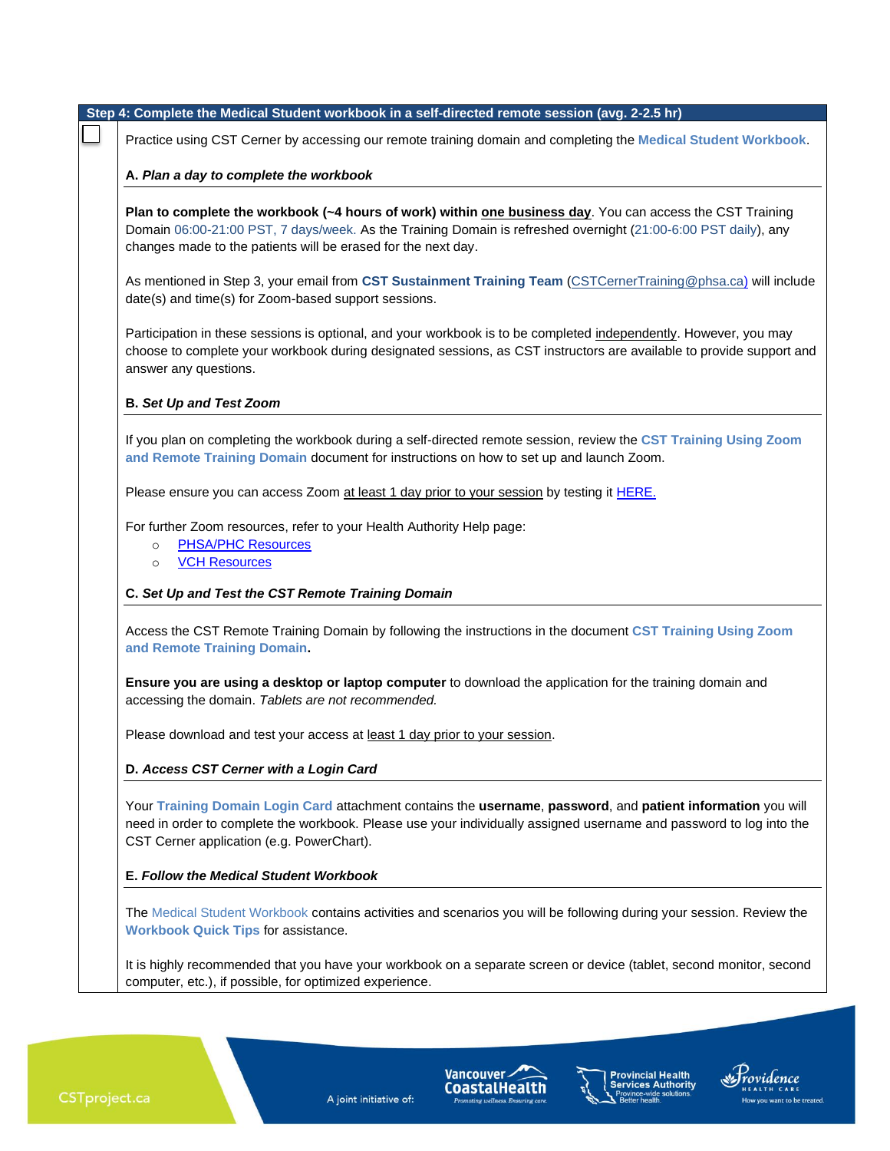| Practice using CST Cerner by accessing our remote training domain and completing the Medical Student Workbook.       |
|----------------------------------------------------------------------------------------------------------------------|
| A. Plan a day to complete the workbook                                                                               |
| Plan to complete the workbook (~4 hours of work) within one business day. You can access the CST Training            |
| Domain 06:00-21:00 PST, 7 days/week. As the Training Domain is refreshed overnight (21:00-6:00 PST daily), any       |
| changes made to the patients will be erased for the next day.                                                        |
|                                                                                                                      |
| As mentioned in Step 3, your email from CST Sustainment Training Team (CSTCernerTraining@phsa.ca) will include       |
| date(s) and time(s) for Zoom-based support sessions.                                                                 |
|                                                                                                                      |
| Participation in these sessions is optional, and your workbook is to be completed independently. However, you may    |
| choose to complete your workbook during designated sessions, as CST instructors are available to provide support and |
| answer any questions.                                                                                                |
| <b>B. Set Up and Test Zoom</b>                                                                                       |
| If you plan on completing the workbook during a self-directed remote session, review the CST Training Using Zoom     |
| and Remote Training Domain document for instructions on how to set up and launch Zoom.                               |
|                                                                                                                      |
| Please ensure you can access Zoom at least 1 day prior to your session by testing it <b>HERE</b> .                   |
| For further Zoom resources, refer to your Health Authority Help page:                                                |
| <b>PHSA/PHC Resources</b><br>$\circ$                                                                                 |
| <b>VCH Resources</b><br>$\circ$                                                                                      |
| C. Set Up and Test the CST Remote Training Domain                                                                    |
|                                                                                                                      |
| Access the CST Remote Training Domain by following the instructions in the document CST Training Using Zoom          |
| and Remote Training Domain.                                                                                          |
| Ensure you are using a desktop or laptop computer to download the application for the training domain and            |
| accessing the domain. Tablets are not recommended.                                                                   |
|                                                                                                                      |
| Please download and test your access at least 1 day prior to your session.                                           |
| D. Access CST Cerner with a Login Card                                                                               |
|                                                                                                                      |
| Your Training Domain Login Card attachment contains the username, password, and patient information you will         |
| need in order to complete the workbook. Please use your individually assigned username and password to log into the  |
| CST Cerner application (e.g. PowerChart).                                                                            |
|                                                                                                                      |
| E. Follow the Medical Student Workbook                                                                               |
| The Medical Student Workbook contains activities and scenarios you will be following during your session. Review the |
| <b>Workbook Quick Tips for assistance.</b>                                                                           |
|                                                                                                                      |
| It is highly recommended that you have your workbook on a separate screen or device (tablet, second monitor, second  |
| computer, etc.), if possible, for optimized experience.                                                              |

A joint initiative of:

Vancouver